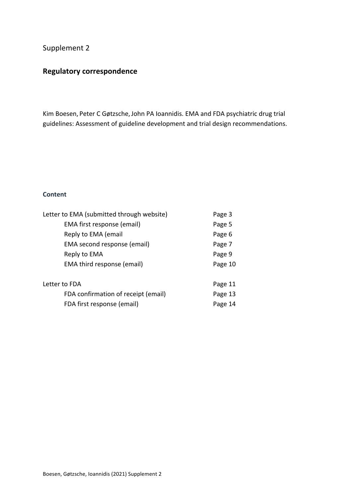## Supplement 2

# **Regulatory correspondence**

Kim Boesen, Peter C Gøtzsche, John PA Ioannidis. EMA and FDA psychiatric drug trial guidelines: Assessment of guideline development and trial design recommendations.

### **Content**

| Letter to EMA (submitted through website) | Page 3  |
|-------------------------------------------|---------|
| EMA first response (email)                | Page 5  |
| Reply to EMA (email                       | Page 6  |
| EMA second response (email)               | Page 7  |
| Reply to EMA                              | Page 9  |
| EMA third response (email)                | Page 10 |
| Letter to FDA                             |         |
|                                           | Page 11 |
| FDA confirmation of receipt (email)       | Page 13 |
| FDA first response (email)                | Page 14 |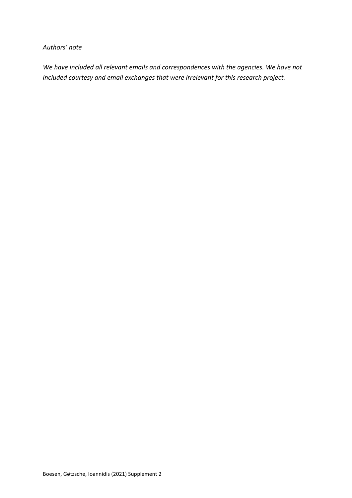### *Authors' note*

*We have included all relevant emails and correspondences with the agencies. We have not* included courtesy and email exchanges that were *irrelevant* for this research project.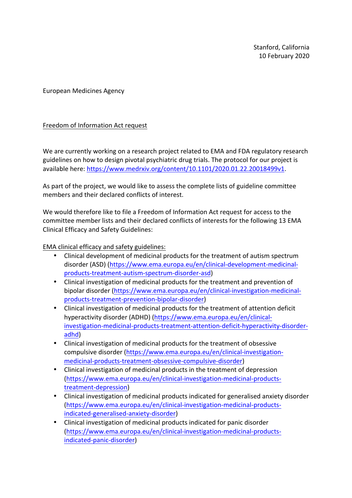Stanford, California 10 February 2020

European Medicines Agency

### Freedom of Information Act request

We are currently working on a research project related to EMA and FDA regulatory research guidelines on how to design pivotal psychiatric drug trials. The protocol for our project is available here: https://www.medrxiv.org/content/10.1101/2020.01.22.20018499v1.

As part of the project, we would like to assess the complete lists of guideline committee members and their declared conflicts of interest.

We would therefore like to file a Freedom of Information Act request for access to the committee member lists and their declared conflicts of interests for the following 13 EMA Clinical Efficacy and Safety Guidelines:

EMA clinical efficacy and safety guidelines:

- Clinical development of medicinal products for the treatment of autism spectrum disorder (ASD) (https://www.ema.europa.eu/en/clinical-development-medicinalproducts-treatment-autism-spectrum-disorder-asd)
- Clinical investigation of medicinal products for the treatment and prevention of bipolar disorder (https://www.ema.europa.eu/en/clinical-investigation-medicinalproducts-treatment-prevention-bipolar-disorder)
- Clinical investigation of medicinal products for the treatment of attention deficit hyperactivity disorder (ADHD) (https://www.ema.europa.eu/en/clinicalinvestigation-medicinal-products-treatment-attention-deficit-hyperactivity-disorderadhd)
- Clinical investigation of medicinal products for the treatment of obsessive compulsive disorder (https://www.ema.europa.eu/en/clinical-investigationmedicinal-products-treatment-obsessive-compulsive-disorder)
- Clinical investigation of medicinal products in the treatment of depression (https://www.ema.europa.eu/en/clinical-investigation-medicinal-productstreatment-depression)
- Clinical investigation of medicinal products indicated for generalised anxiety disorder (https://www.ema.europa.eu/en/clinical-investigation-medicinal-productsindicated-generalised-anxiety-disorder)
- Clinical investigation of medicinal products indicated for panic disorder (https://www.ema.europa.eu/en/clinical-investigation-medicinal-productsindicated-panic-disorder)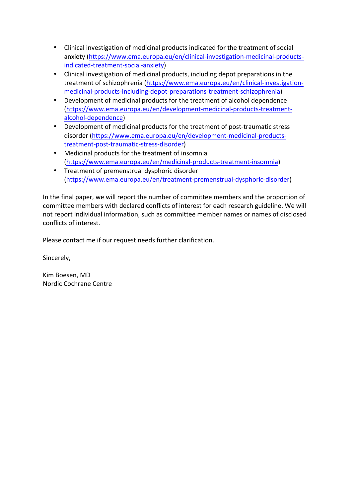- Clinical investigation of medicinal products indicated for the treatment of social anxiety (https://www.ema.europa.eu/en/clinical-investigation-medicinal-productsindicated-treatment-social-anxiety)
- Clinical investigation of medicinal products, including depot preparations in the treatment of schizophrenia (https://www.ema.europa.eu/en/clinical-investigationmedicinal-products-including-depot-preparations-treatment-schizophrenia)
- Development of medicinal products for the treatment of alcohol dependence (https://www.ema.europa.eu/en/development-medicinal-products-treatmentalcohol-dependence)
- Development of medicinal products for the treatment of post-traumatic stress disorder (https://www.ema.europa.eu/en/development-medicinal-productstreatment-post-traumatic-stress-disorder)
- Medicinal products for the treatment of insomnia (https://www.ema.europa.eu/en/medicinal-products-treatment-insomnia)
- Treatment of premenstrual dysphoric disorder (https://www.ema.europa.eu/en/treatment-premenstrual-dysphoric-disorder)

In the final paper, we will report the number of committee members and the proportion of committee members with declared conflicts of interest for each research guideline. We will not report individual information, such as committee member names or names of disclosed conflicts of interest.

Please contact me if our request needs further clarification.

Sincerely,

Kim Boesen, MD Nordic Cochrane Centre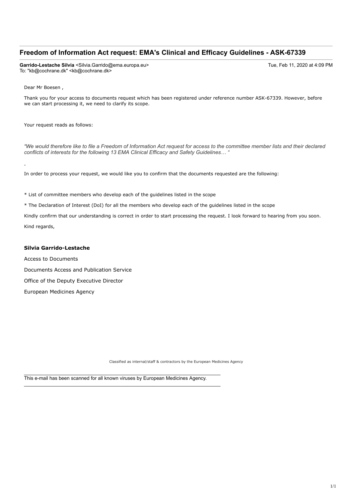### **Freedom of Information Act request: EMA's Clinical and Efficacy Guidelines - ASK-67339**

**Garrido-Lestache Silvia** <Silvia.Garrido@ema.europa.eu> Tue, Feb 11, 2020 at 4:09 PM To: "kb@cochrane.dk" <kb@cochrane.dk>

Dear Mr Boesen ,

Thank you for your access to documents request which has been registered under reference number ASK-67339. However, before we can start processing it, we need to clarify its scope.

Your request reads as follows:

*"We would therefore like to file a Freedom of Information Act request for access to the committee member lists and their declared conflicts of interests for the following 13 EMA Clinical Efficacy and Safety Guidelines… "*

In order to process your request, we would like you to confirm that the documents requested are the following:

\* List of committee members who develop each of the guidelines listed in the scope

\* The Declaration of Interest (DoI) for all the members who develop each of the guidelines listed in the scope

Kindly confirm that our understanding is correct in order to start processing the request. I look forward to hearing from you soon. Kind regards,

#### **Silvia Garrido-Lestache**

Access to Documents Documents Access and Publication Service Office of the Deputy Executive Director European Medicines Agency

Classified as internal/staff & contractors by the European Medicines Agency

This e-mail has been scanned for all known viruses by European Medicines Agency.

\_\_\_\_\_\_\_\_\_\_\_\_\_\_\_\_\_\_\_\_\_\_\_\_\_\_\_\_\_\_\_\_\_\_\_\_\_\_\_\_\_\_\_\_\_\_\_\_\_\_\_\_\_\_\_\_\_\_\_\_\_\_\_\_\_\_\_\_\_\_\_\_

\_\_\_\_\_\_\_\_\_\_\_\_\_\_\_\_\_\_\_\_\_\_\_\_\_\_\_\_\_\_\_\_\_\_\_\_\_\_\_\_\_\_\_\_\_\_\_\_\_\_\_\_\_\_\_\_\_\_\_\_\_\_\_\_\_\_\_\_\_\_\_\_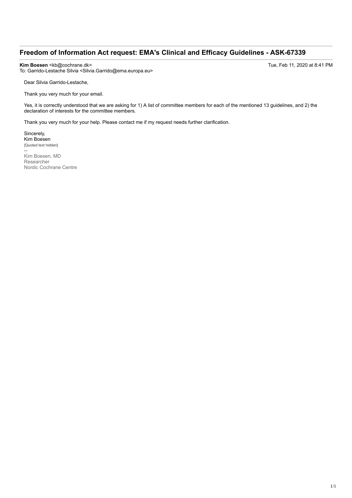### **Freedom of Information Act request: EMA's Clinical and Efficacy Guidelines - ASK-67339**

**Kim Boesen** <kb@cochrane.dk> Tue, Feb 11, 2020 at 8:41 PM To: Garrido-Lestache Silvia <Silvia.Garrido@ema.europa.eu>

Dear Silvia Garrido-Lestache,

Thank you very much for your email.

Yes, it is correctly understood that we are asking for 1) A list of committee members for each of the mentioned 13 guidelines, and 2) the declaration of interests for the committee members.

Thank you very much for your help. Please contact me if my request needs further clarification.

Sincerely, Kim Boesen [Quoted text hidden]

-- Kim Boesen, MD Researcher Nordic Cochrane Centre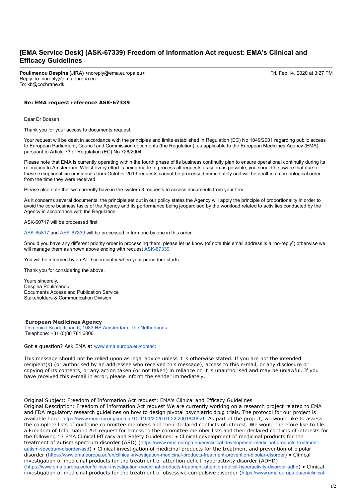### **[EMA Service Desk] (ASK-67339) Freedom of Information Act request: EMA's Clinical and Efficacy Guidelines**

**Poulimenou Despina (JIRA)** <noreply@ema.europa.eu> Fri, Feb 14, 2020 at 3:27 PM Reply-To: noreply@ema.europa.eu To: kb@cochrane.dk

#### **Re: EMA request reference ASK-67339**

Dear Dr Boesen,

Thank you for your access to documents request.

Your request will be dealt in accordance with the principles and limits established in Regulation (EC) No 1049/2001 regarding public access to European Parliament, Council and Commission documents (the Regulation), as applicable to the European Medicines Agency (EMA) pursuant to Article 73 of Regulation (EC) No 726/2004.

Please note that EMA is currently operating within the fourth phase of its business continuity plan to ensure operational continuity during its relocation to Amsterdam. Whilst every effort is being made to process all requests as soon as possible, you should be aware that due to these exceptional circumstances from October 2019 requests cannot be processed immediately and will be dealt in a chronological order from the time they were received.

Please also note that we currently have in the system 3 requests to access documents from your firm.

As it concerns several documents, the principle set out in our policy states the Agency will apply the principle of proportionality in order to avoid the core business tasks of the Agency and its performance being jeopardised by the workload related to activities conducted by the Agency in accordance with the Regulation.

ASK-60717 will be processed first

ASK-65817 and ASK-67339 will be processed in turn one by one in this order.

Should you have any different priority order in processing them, please let us know (of note this email address is a "no-reply") otherwise we will manage them as shown above ending with request ASK-67339.

You will be informed by an ATD coordinator when your procedure starts.

Thank you for considering the above.

Yours sincerely, Despina Poulimenou Documents Access and Publication Service Stakeholders & Communication Division

#### **European Medicines Agency**

Domenico Scarlattilaan 6, 1083 HS Amsterdam, The Netherlands Telephone: +31 (0)88 781 6000

Got a question? Ask EMA at www.ema.europa.eu/contact

This message should not be relied upon as legal advice unless it is otherwise stated. If you are not the intended recipient(s) (or authorised by an addressee who received this message), access to this e-mail, or any disclosure or copying of its contents, or any action taken (or not taken) in reliance on it is unauthorised and may be unlawful. If you have received this e-mail in error, please inform the sender immediately.

#### =============================================

Original Subject: Freedom of Information Act request: EMA's Clinical and Efficacy Guidelines

Original Description: Freedom of Information Act request We are currently working on a research project related to EMA and FDA regulatory research guidelines on how to design pivotal psychiatric drug trials. The protocol for our project is available here: https://www.medrxiv.org/content/10.1101/2020.01.22.20018499v1. As part of the project, we would like to assess the complete lists of guideline committee members and their declared conflicts of interest. We would therefore like to file a Freedom of Information Act request for access to the committee member lists and their declared conflicts of interests for the following 13 EMA Clinical Efficacy and Safety Guidelines: • Clinical development of medicinal products for the treatment of autism spectrum disorder (ASD) (https://www.ema.europa.eu/en/clinical-development-medicinal-products-treatmentautism-spectrum-disorder-asd) • Clinical investigation of medicinal products for the treatment and prevention of bipolar disorder (https://www.ema.europa.eu/en/clinical-investigation-medicinal-products-treatment-prevention-bipolar-disorder) • Clinical investigation of medicinal products for the treatment of attention deficit hyperactivity disorder (ADHD) (https://www.ema.europa.eu/en/clinical-investigation-medicinal-products-treatment-attention-deficit-hyperactivity-disorder-adhd) • Clinical investigation of medicinal products for the treatment of obsessive compulsive disorder (https://www.ema.europa.eu/en/clinical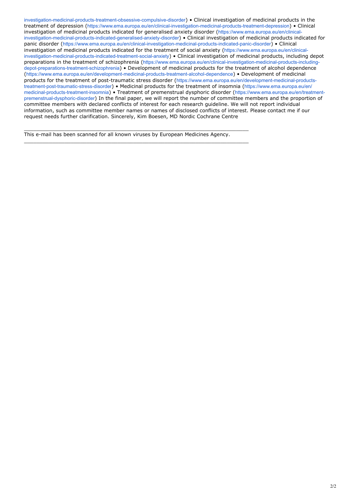investigation-medicinal-products-treatment-obsessive-compulsive-disorder) • Clinical investigation of medicinal products in the treatment of depression (https://www.ema.europa.eu/en/clinical-investigation-medicinal-products-treatment-depression) • Clinical investigation of medicinal products indicated for generalised anxiety disorder (https://www.ema.europa.eu/en/clinicalinvestigation-medicinal-products-indicated-generalised-anxiety-disorder) • Clinical investigation of medicinal products indicated for panic disorder (https://www.ema.europa.eu/en/clinical-investigation-medicinal-products-indicated-panic-disorder) • Clinical investigation of medicinal products indicated for the treatment of social anxiety (https://www.ema.europa.eu/en/clinicalinvestigation-medicinal-products-indicated-treatment-social-anxiety) • Clinical investigation of medicinal products, including depot preparations in the treatment of schizophrenia (https://www.ema.europa.eu/en/clinical-investigation-medicinal-products-includingdepot-preparations-treatment-schizophrenia) • Development of medicinal products for the treatment of alcohol dependence (https://www.ema.europa.eu/en/development-medicinal-products-treatment-alcohol-dependence) • Development of medicinal products for the treatment of post-traumatic stress disorder (https://www.ema.europa.eu/en/development-medicinal-productstreatment-post-traumatic-stress-disorder) • Medicinal products for the treatment of insomnia (https://www.ema.europa.eu/en/ medicinal-products-treatment-insomnia) • Treatment of premenstrual dysphoric disorder (https://www.ema.europa.eu/en/treatmentpremenstrual-dysphoric-disorder) In the final paper, we will report the number of committee members and the proportion of committee members with declared conflicts of interest for each research guideline. We will not report individual information, such as committee member names or names of disclosed conflicts of interest. Please contact me if our request needs further clarification. Sincerely, Kim Boesen, MD Nordic Cochrane Centre

This e-mail has been scanned for all known viruses by European Medicines Agency.

 $\_$  ,  $\_$  ,  $\_$  ,  $\_$  ,  $\_$  ,  $\_$  ,  $\_$  ,  $\_$  ,  $\_$  ,  $\_$  ,  $\_$  ,  $\_$  ,  $\_$  ,  $\_$  ,  $\_$  ,  $\_$  ,  $\_$  ,  $\_$  ,  $\_$  ,  $\_$  ,  $\_$  ,  $\_$  ,  $\_$  ,  $\_$  ,  $\_$  ,  $\_$  ,  $\_$  ,  $\_$  ,  $\_$  ,  $\_$  ,  $\_$  ,  $\_$  ,  $\_$  ,  $\_$  ,  $\_$  ,  $\_$  ,  $\_$  ,

 $\_$  ,  $\_$  ,  $\_$  ,  $\_$  ,  $\_$  ,  $\_$  ,  $\_$  ,  $\_$  ,  $\_$  ,  $\_$  ,  $\_$  ,  $\_$  ,  $\_$  ,  $\_$  ,  $\_$  ,  $\_$  ,  $\_$  ,  $\_$  ,  $\_$  ,  $\_$  ,  $\_$  ,  $\_$  ,  $\_$  ,  $\_$  ,  $\_$  ,  $\_$  ,  $\_$  ,  $\_$  ,  $\_$  ,  $\_$  ,  $\_$  ,  $\_$  ,  $\_$  ,  $\_$  ,  $\_$  ,  $\_$  ,  $\_$  ,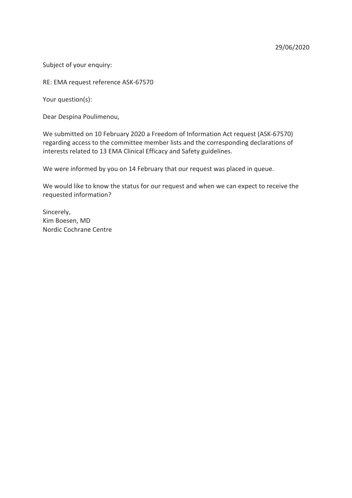Subject of your enquiry:

RE: EMA request reference ASK-67570

Your question(s):

Dear Despina Poulimenou,

We submitted on 10 February 2020 a Freedom of Information Act request (ASK-67570) regarding access to the committee member lists and the corresponding declarations of interests related to 13 EMA Clinical Efficacy and Safety guidelines.

We were informed by you on 14 February that our request was placed in queue.

We would like to know the status for our request and when we can expect to receive the requested information?

Sincerely, Kim Boesen, MD Nordic Cochrane Centre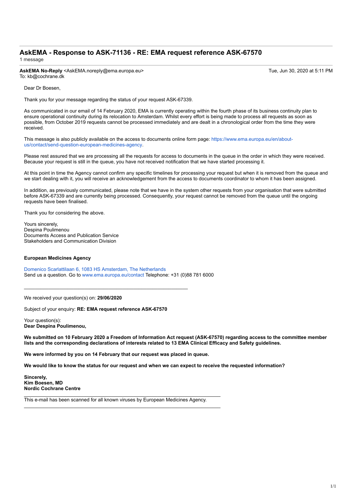### **AskEMA - Response to ASK-71136 - RE: EMA request reference ASK-67570** 1 message

**AskEMA No-Reply** <AskEMA.noreply@ema.europa.eu> Tue, Jun 30, 2020 at 5:11 PM To: kb@cochrane.dk

Dear Dr Boesen,

Thank you for your message regarding the status of your request ASK-67339.

As communicated in our email of 14 February 2020, EMA is currently operating within the fourth phase of its business continuity plan to ensure operational continuity during its relocation to Amsterdam. Whilst every effort is being made to process all requests as soon as possible, from October 2019 requests cannot be processed immediately and are dealt in a chronological order from the time they were received.

This message is also publicly available on the access to documents online form page: https://www.ema.europa.eu/en/aboutus/contact/send-question-european-medicines-agency.

Please rest assured that we are processing all the requests for access to documents in the queue in the order in which they were received. Because your request is still in the queue, you have not received notification that we have started processing it.

At this point in time the Agency cannot confirm any specific timelines for processing your request but when it is removed from the queue and we start dealing with it, you will receive an acknowledgement from the access to documents coordinator to whom it has been assigned.

In addition, as previously communicated, please note that we have in the system other requests from your organisation that were submitted before ASK-67339 and are currently being processed. Consequently, your request cannot be removed from the queue until the ongoing requests have been finalised.

Thank you for considering the above.

Yours sincerely, Despina Poulimenou Documents Access and Publication Service Stakeholders and Communication Division

#### **European Medicines Agency**

Domenico Scarlattilaan 6, 1083 HS Amsterdam, The Netherlands Send us a question. Go to www.ema.europa.eu/contact Telephone: +31 (0)88 781 6000

We received your question(s) on: **29/06/2020**

Subject of your enquiry: **RE: EMA request reference ASK-67570**

\_\_\_\_\_\_\_\_\_\_\_\_\_\_\_\_\_\_\_\_\_\_\_\_\_\_\_\_\_\_\_\_\_\_\_\_\_\_\_\_\_\_\_\_\_\_\_\_\_\_\_\_\_\_\_\_\_\_\_\_

Your question(s): **Dear Despina Poulimenou,** 

**We submitted on 10 February 2020 a Freedom of Information Act request (ASK-67570) regarding access to the committee member lists and the corresponding declarations of interests related to 13 EMA Clinical Efficacy and Safety guidelines.** 

**We were informed by you on 14 February that our request was placed in queue.**

**We would like to know the status for our request and when we can expect to receive the requested information?**

**Sincerely, Kim Boesen, MD Nordic Cochrane Centre**

This e-mail has been scanned for all known viruses by European Medicines Agency.

\_\_\_\_\_\_\_\_\_\_\_\_\_\_\_\_\_\_\_\_\_\_\_\_\_\_\_\_\_\_\_\_\_\_\_\_\_\_\_\_\_\_\_\_\_\_\_\_\_\_\_\_\_\_\_\_\_\_\_\_\_\_\_\_\_\_\_\_\_\_\_\_

\_\_\_\_\_\_\_\_\_\_\_\_\_\_\_\_\_\_\_\_\_\_\_\_\_\_\_\_\_\_\_\_\_\_\_\_\_\_\_\_\_\_\_\_\_\_\_\_\_\_\_\_\_\_\_\_\_\_\_\_\_\_\_\_\_\_\_\_\_\_\_\_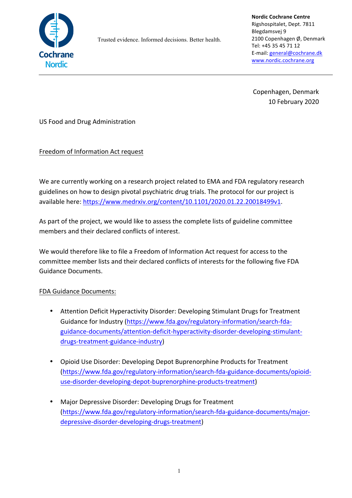

Trusted evidence. Informed decisions. Better health.

**Nordic Cochrane Centre** Rigshospitalet, Dept. 7811 Blegdamsvej 9 2100 Copenhagen Ø, Denmark Tel: +45 35 45 71 12 E-mail: general@cochrane.dk www.nordic.cochrane.org

Copenhagen, Denmark 10 February 2020

US Food and Drug Administration

Freedom of Information Act request

We are currently working on a research project related to EMA and FDA regulatory research guidelines on how to design pivotal psychiatric drug trials. The protocol for our project is available here: https://www.medrxiv.org/content/10.1101/2020.01.22.20018499v1.

As part of the project, we would like to assess the complete lists of guideline committee members and their declared conflicts of interest.

We would therefore like to file a Freedom of Information Act request for access to the committee member lists and their declared conflicts of interests for the following five FDA Guidance Documents.

## FDA Guidance Documents:

- Attention Deficit Hyperactivity Disorder: Developing Stimulant Drugs for Treatment Guidance for Industry (https://www.fda.gov/regulatory-information/search-fdaguidance-documents/attention-deficit-hyperactivity-disorder-developing-stimulantdrugs-treatment-guidance-industry)
- Opioid Use Disorder: Developing Depot Buprenorphine Products for Treatment (https://www.fda.gov/regulatory-information/search-fda-guidance-documents/opioiduse-disorder-developing-depot-buprenorphine-products-treatment)
- Major Depressive Disorder: Developing Drugs for Treatment (https://www.fda.gov/regulatory-information/search-fda-guidance-documents/majordepressive-disorder-developing-drugs-treatment)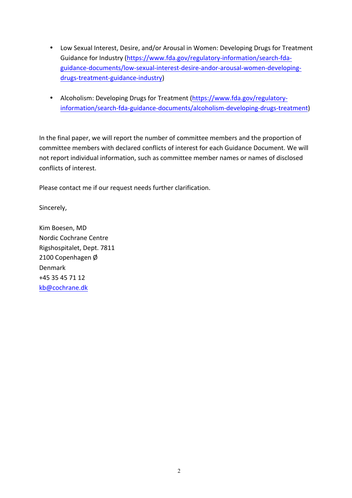- Low Sexual Interest, Desire, and/or Arousal in Women: Developing Drugs for Treatment Guidance for Industry (https://www.fda.gov/regulatory-information/search-fdaguidance-documents/low-sexual-interest-desire-andor-arousal-women-developingdrugs-treatment-guidance-industry)
- Alcoholism: Developing Drugs for Treatment (https://www.fda.gov/regulatoryinformation/search-fda-guidance-documents/alcoholism-developing-drugs-treatment)

In the final paper, we will report the number of committee members and the proportion of committee members with declared conflicts of interest for each Guidance Document. We will not report individual information, such as committee member names or names of disclosed conflicts of interest.

Please contact me if our request needs further clarification.

Sincerely,

Kim Boesen, MD Nordic Cochrane Centre Rigshospitalet, Dept. 7811 2100 Copenhagen Ø Denmark  $+45.35.45.71.12$ kb@cochrane.dk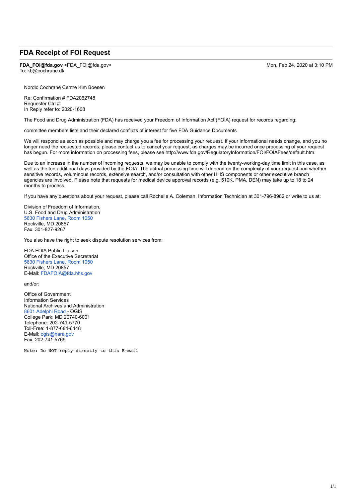### **FDA Receipt of FOI Request**

**FDA\_FOI@fda.gov** <FDA\_FOI@fda.gov> Mon, Feb 24, 2020 at 3:10 PM To: kb@cochrane.dk

Nordic Cochrane Centre Kim Boesen

Re: Confirmation # FDA2062748 Requester Ctrl #: In Reply refer to: 2020-1608

The Food and Drug Administration (FDA) has received your Freedom of Information Act (FOIA) request for records regarding:

committee members lists and their declared conflicts of interest for five FDA Guidance Documents

We will respond as soon as possible and may charge you a fee for processing your request. If your informational needs change, and you no longer need the requested records, please contact us to cancel your request, as charges may be incurred once processing of your request has begun. For more information on processing fees, please see http://www.fda.gov/RegulatoryInformation/FOI/FOIAFees/default.htm.

Due to an increase in the number of incoming requests, we may be unable to comply with the twenty-working-day time limit in this case, as well as the ten additional days provided by the FOIA. The actual processing time will depend on the complexity of your request and whether sensitive records, voluminous records, extensive search, and/or consultation with other HHS components or other executive branch agencies are involved. Please note that requests for medical device approval records (e.g. 510K, PMA, DEN) may take up to 18 to 24 months to process.

If you have any questions about your request, please call Rochelle A. Coleman, Information Technician at 301-796-8982 or write to us at:

Division of Freedom of Information, U.S. Food and Drug Administration 5630 Fishers Lane, Room 1050 Rockville, MD 20857 Fax: 301-827-9267

You also have the right to seek dispute resolution services from:

FDA FOIA Public Liaison Office of the Executive Secretariat 5630 Fishers Lane, Room 1050 Rockville, MD 20857 E-Mail: FDAFOIA@fda.hhs.gov

and/or:

Office of Government Information Services National Archives and Administration 8601 Adelphi Road - OGIS College Park, MD 20740-6001 Telephone: 202-741-5770 Toll-Free: 1-877-684-6448 E-Mail: ogis@nara.gov Fax: 202-741-5769

Note: Do NOT reply directly to this E-mail